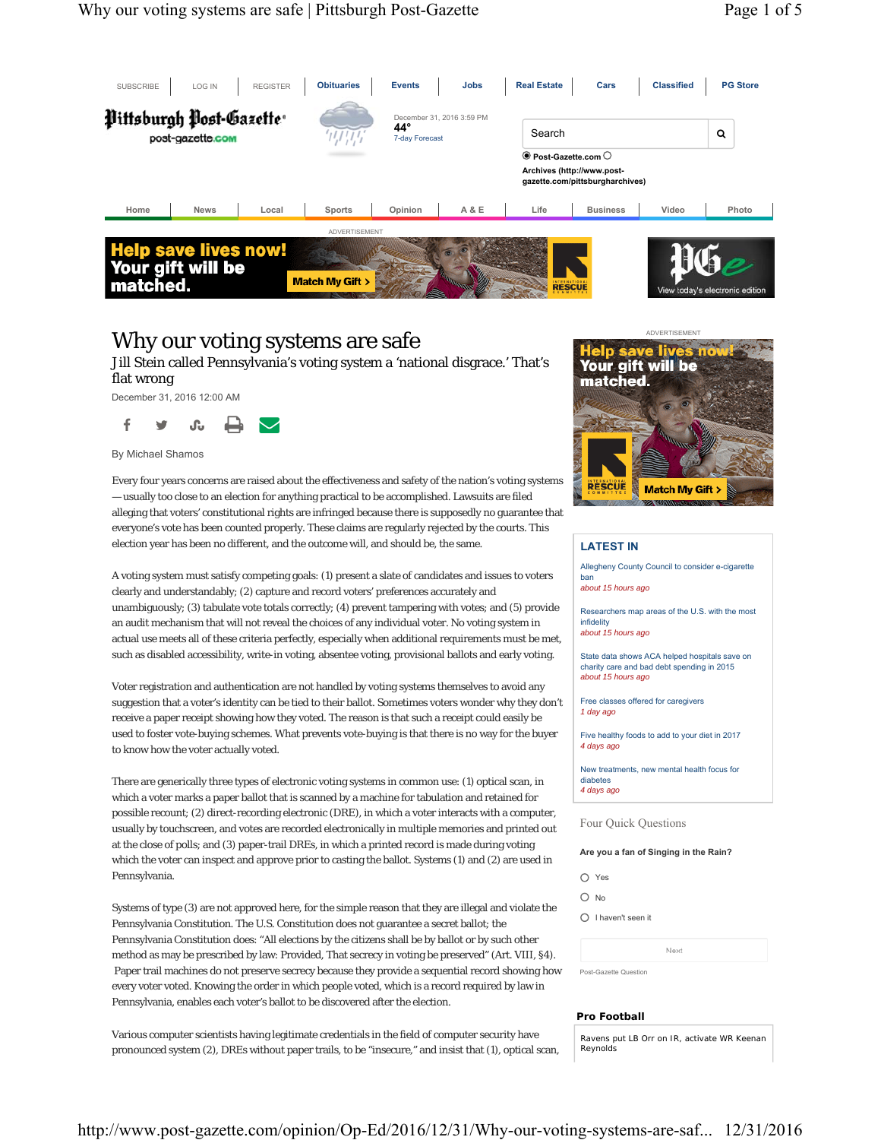

### Why our voting systems are safe

Jill Stein called Pennsylvania's voting system a 'national disgrace.' That's flat wrong

December 31, 2016 12:00 AM



By Michael Shamos

Every four years concerns are raised about the effectiveness and safety of the nation's voting systems — usually too close to an election for anything practical to be accomplished. Lawsuits are filed alleging that voters' constitutional rights are infringed because there is supposedly no guarantee that everyone's vote has been counted properly. These claims are regularly rejected by the courts. This election year has been no different, and the outcome will, and should be, the same.

A voting system must satisfy competing goals: (1) present a slate of candidates and issues to voters clearly and understandably; (2) capture and record voters' preferences accurately and unambiguously; (3) tabulate vote totals correctly; (4) prevent tampering with votes; and (5) provide an audit mechanism that will not reveal the choices of any individual voter. No voting system in actual use meets all of these criteria perfectly, especially when additional requirements must be met, such as disabled accessibility, write-in voting, absentee voting, provisional ballots and early voting.

Voter registration and authentication are not handled by voting systems themselves to avoid any suggestion that a voter's identity can be tied to their ballot. Sometimes voters wonder why they don't receive a paper receipt showing how they voted. The reason is that such a receipt could easily be used to foster vote-buying schemes. What prevents vote-buying is that there is no way for the buyer to know how the voter actually voted.

There are generically three types of electronic voting systems in common use: (1) optical scan, in which a voter marks a paper ballot that is scanned by a machine for tabulation and retained for possible recount; (2) direct-recording electronic (DRE), in which a voter interacts with a computer, usually by touchscreen, and votes are recorded electronically in multiple memories and printed out at the close of polls; and (3) paper-trail DREs, in which a printed record is made during voting which the voter can inspect and approve prior to casting the ballot. Systems (1) and (2) are used in Pennsylvania.

Systems of type (3) are not approved here, for the simple reason that they are illegal and violate the Pennsylvania Constitution. The U.S. Constitution does not guarantee a secret ballot; the Pennsylvania Constitution does: "All elections by the citizens shall be by ballot or by such other method as may be prescribed by law: Provided, That secrecy in voting be preserved" (Art. VIII, §4). Paper trail machines do not preserve secrecy because they provide a sequential record showing how every voter voted. Knowing the order in which people voted, which is a record required by law in Pennsylvania, enables each voter's ballot to be discovered after the election.

Various computer scientists having legitimate credentials in the field of computer security have pronounced system (2), DREs without paper trails, to be "insecure," and insist that (1), optical scan,



#### **LATEST IN**

*about 15 hours ago* 

Allegheny County Council to consider e-cigarette ban *about 15 hours ago* 

Researchers map areas of the U.S. with the most infidelity *about 15 hours ago* 

State data shows ACA helped hospitals save on charity care and bad debt spending in 2015

Free classes offered for caregivers *1 day ago* 

Five healthy foods to add to your diet in 2017 *4 days ago* 

New treatments, new mental health focus for diabetes *4 days ago* 

Four Quick Questions

**Are you a fan of Singing in the Rain?**

- O Yes
- $O$  No

I haven't seen it

|                       | Next |  |
|-----------------------|------|--|
| Post-Gazette Question |      |  |

#### **Pro Football**

Ravens put LB Orr on IR, activate WR Keenan **Reynolds**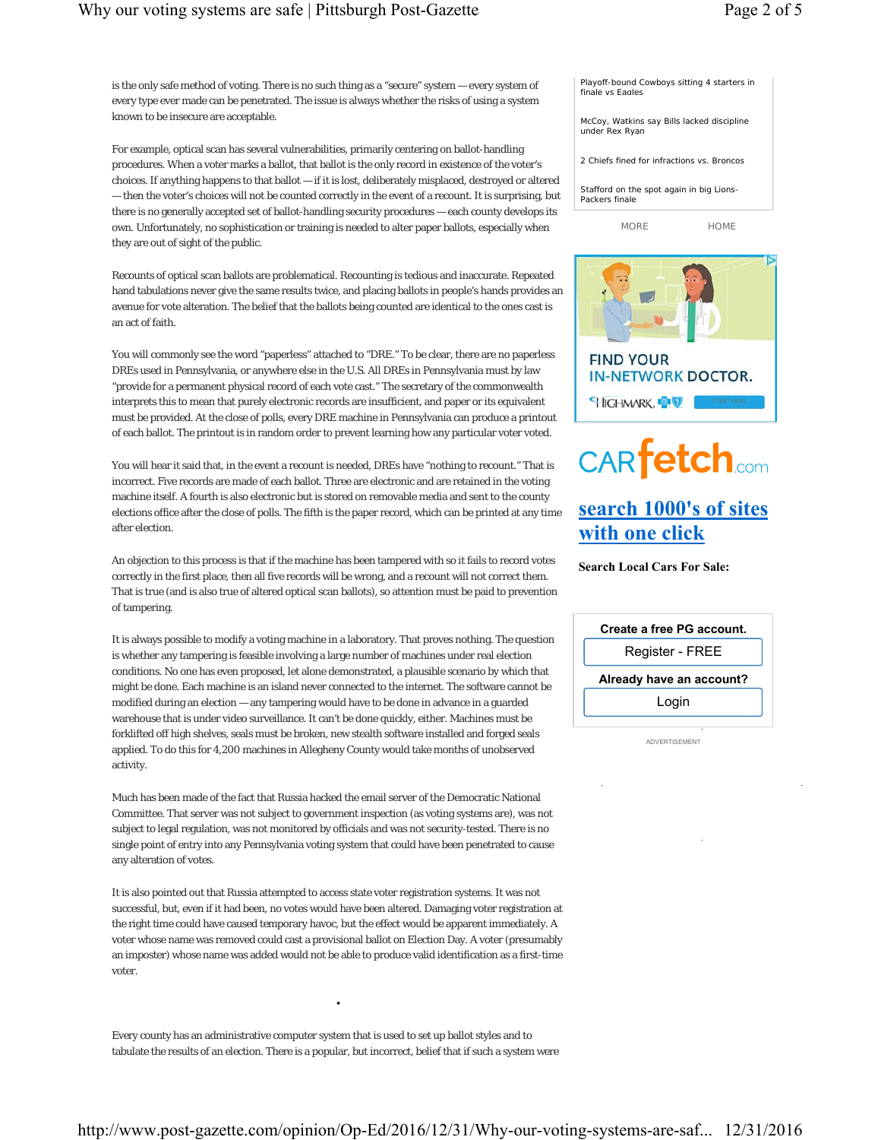is the only safe method of voting. There is no such thing as a "secure" system — every system of every type ever made can be penetrated. The issue is always whether the risks of using a system known to be insecure are acceptable.

For example, optical scan has several vulnerabilities, primarily centering on ballot-handling procedures. When a voter marks a ballot, that ballot is the only record in existence of the voter's choices. If anything happens to that ballot — if it is lost, deliberately misplaced, destroyed or altered — then the voter's choices will not be counted correctly in the event of a recount. It is surprising, but there is no generally accepted set of ballot-handling security procedures — each county develops its own. Unfortunately, no sophistication or training is needed to alter paper ballots, especially when they are out of sight of the public.

Recounts of optical scan ballots are problematical. Recounting is tedious and inaccurate. Repeated hand tabulations never give the same results twice, and placing ballots in people's hands provides an avenue for vote alteration. The belief that the ballots being counted are identical to the ones cast is an act of faith.

You will commonly see the word "paperless" attached to "DRE." To be clear, there are no paperless DREs used in Pennsylvania, or anywhere else in the U.S. All DREs in Pennsylvania must by law "provide for a permanent physical record of each vote cast." The secretary of the commonwealth interprets this to mean that purely electronic records are insufficient, and paper or its equivalent must be provided. At the close of polls, every DRE machine in Pennsylvania can produce a printout of each ballot. The printout is in random order to prevent learning how any particular voter voted.

You will hear it said that, in the event a recount is needed, DREs have "nothing to recount." That is incorrect. Five records are made of each ballot. Three are electronic and are retained in the voting machine itself. A fourth is also electronic but is stored on removable media and sent to the county elections office after the close of polls. The fifth is the paper record, which can be printed at any time after election.

An objection to this process is that if the machine has been tampered with so it fails to record votes correctly in the first place, then all five records will be wrong, and a recount will not correct them. That is true (and is also true of altered optical scan ballots), so attention must be paid to prevention of tampering.

It is always possible to modify a voting machine in a laboratory. That proves nothing. The question is whether any tampering is feasible involving a large number of machines under real election conditions. No one has even proposed, let alone demonstrated, a plausible scenario by which that might be done. Each machine is an island never connected to the internet. The software cannot be modified during an election — any tampering would have to be done in advance in a guarded warehouse that is under video surveillance. It can't be done quickly, either. Machines must be forklifted off high shelves, seals must be broken, new stealth software installed and forged seals applied. To do this for 4,200 machines in Allegheny County would take months of unobserved activity.

Much has been made of the fact that Russia hacked the email server of the Democratic National Committee. That server was not subject to government inspection (as voting systems are), was not subject to legal regulation, was not monitored by officials and was not security-tested. There is no single point of entry into any Pennsylvania voting system that could have been penetrated to cause any alteration of votes.

It is also pointed out that Russia attempted to access state voter registration systems. It was not successful, but, even if it had been, no votes would have been altered. Damaging voter registration at the right time could have caused temporary havoc, but the effect would be apparent immediately. A voter whose name was removed could cast a provisional ballot on Election Day. A voter (presumably an imposter) whose name was added would not be able to produce valid identification as a first-time voter.

Every county has an administrative computer system that is used to set up ballot styles and to tabulate the results of an election. There is a popular, but incorrect, belief that if such a system were

•

| Playoff-bound Cowboys sitting 4 starters in<br>finale vs Eagles |      |  |  |
|-----------------------------------------------------------------|------|--|--|
| McCoy, Watkins say Bills lacked discipline<br>under Rex Ryan    |      |  |  |
| 2 Chiefs fined for infractions vs. Broncos                      |      |  |  |
| Stafford on the spot again in big Lions-<br>Packers finale      |      |  |  |
| MORF                                                            | home |  |  |



# **CARfetch.com**

## **search 1000's of sites with one click**

**Search Local Cars For Sale:**

ADVERTISEMENT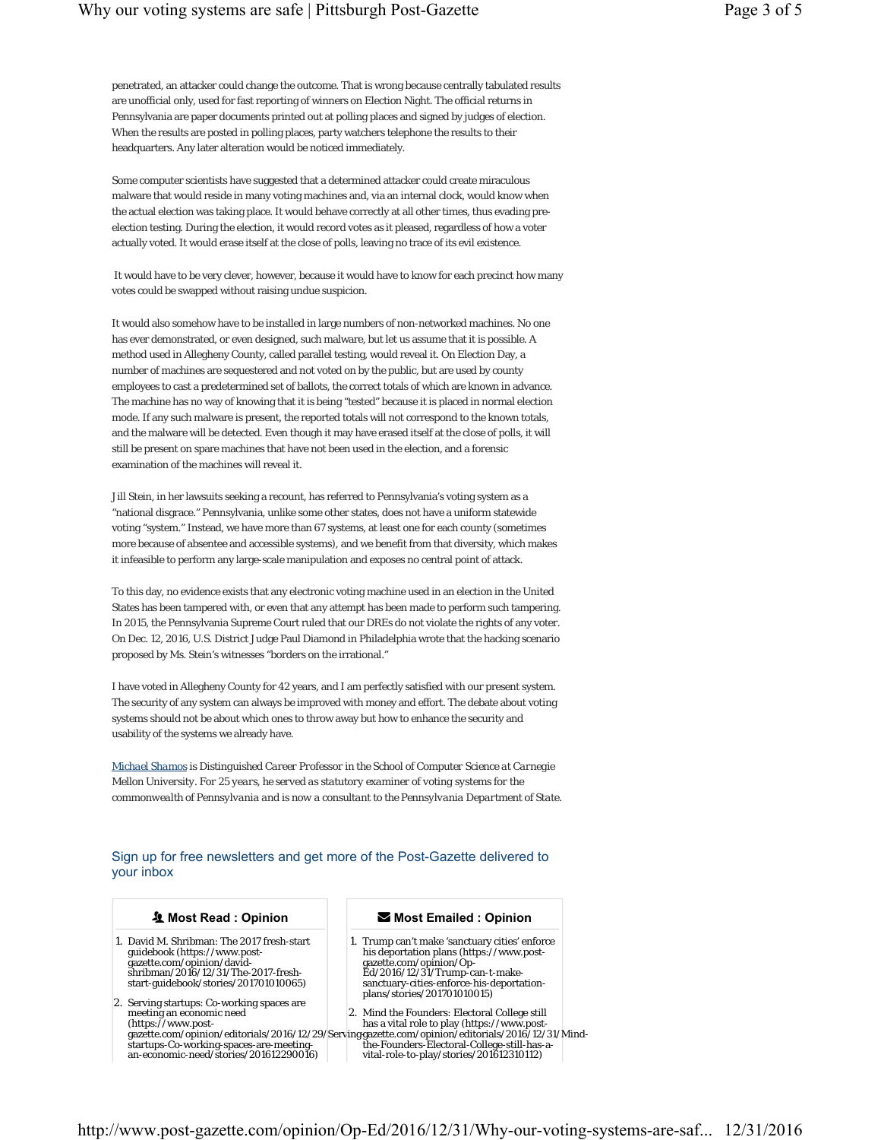penetrated, an attacker could change the outcome. That is wrong because centrally tabulated results are unofficial only, used for fast reporting of winners on Election Night. The official returns in Pennsylvania are paper documents printed out at polling places and signed by judges of election. When the results are posted in polling places, party watchers telephone the results to their headquarters. Any later alteration would be noticed immediately.

Some computer scientists have suggested that a determined attacker could create miraculous malware that would reside in many voting machines and, via an internal clock, would know when the actual election was taking place. It would behave correctly at all other times, thus evading preelection testing. During the election, it would record votes as it pleased, regardless of how a voter actually voted. It would erase itself at the close of polls, leaving no trace of its evil existence.

 It would have to be very clever, however, because it would have to know for each precinct how many votes could be swapped without raising undue suspicion.

It would also somehow have to be installed in large numbers of non-networked machines. No one has ever demonstrated, or even designed, such malware, but let us assume that it is possible. A method used in Allegheny County, called parallel testing, would reveal it. On Election Day, a number of machines are sequestered and not voted on by the public, but are used by county employees to cast a predetermined set of ballots, the correct totals of which are known in advance. The machine has no way of knowing that it is being "tested" because it is placed in normal election mode. If any such malware is present, the reported totals will not correspond to the known totals, and the malware will be detected. Even though it may have erased itself at the close of polls, it will still be present on spare machines that have not been used in the election, and a forensic examination of the machines will reveal it.

Jill Stein, in her lawsuits seeking a recount, has referred to Pennsylvania's voting system as a "national disgrace." Pennsylvania, unlike some other states, does not have a uniform statewide voting "system." Instead, we have more than 67 systems, at least one for each county (sometimes more because of absentee and accessible systems), and we benefit from that diversity, which makes it infeasible to perform any large-scale manipulation and exposes no central point of attack.

To this day, no evidence exists that any electronic voting machine used in an election in the United States has been tampered with, or even that any attempt has been made to perform such tampering. In 2015, the Pennsylvania Supreme Court ruled that our DREs do not violate the rights of any voter. On Dec. 12, 2016, U.S. District Judge Paul Diamond in Philadelphia wrote that the hacking scenario proposed by Ms. Stein's witnesses "borders on the irrational."

I have voted in Allegheny County for 42 years, and I am perfectly satisfied with our present system. The security of any system can always be improved with money and effort. The debate about voting systems should not be about which ones to throw away but how to enhance the security and usability of the systems we already have.

*Michael Shamos is Distinguished Career Professor in the School of Computer Science at Carnegie Mellon University. For 25 years, he served as statutory examiner of voting systems for the commonwealth of Pennsylvania and is now a consultant to the Pennsylvania Department of State.*

Sign up for free newsletters and get more of the Post-Gazette delivered to your inbox

#### **Most Read : Opinion**

- 1. David M. Shribman: The 2017 fresh-start guidebook (https://www.postgazette.com/opinion/davidshribman/2016/12/31/The-2017-fresh-start-guidebook/stories/201701010065)
- 2. Serving startups: Co-working spaces are meeting an economic need startups-Co-working-spaces-are-meetingan-economic-need/stories/201612290016)

#### **Most Emailed : Opinion**

1. Trump can't make 'sanctuary cities' enforce his deportation plans (https://www.postgazette.com/opinion/Op-Ed/2016/12/31/Trump-can-t-make-sanctuary-cities-enforce-his-deportationplans/stories/201701010015)

(https://www.post-gazette.com/opinion/editorials/2016/12/29/Serving-has a vital role to play (https://www.post-gazette.com/opinion/editorials/2016/12/31/Mind-2. Mind the Founders: Electoral College still the-Founders-Electoral-College-still-has-avital-role-to-play/stories/201612310112)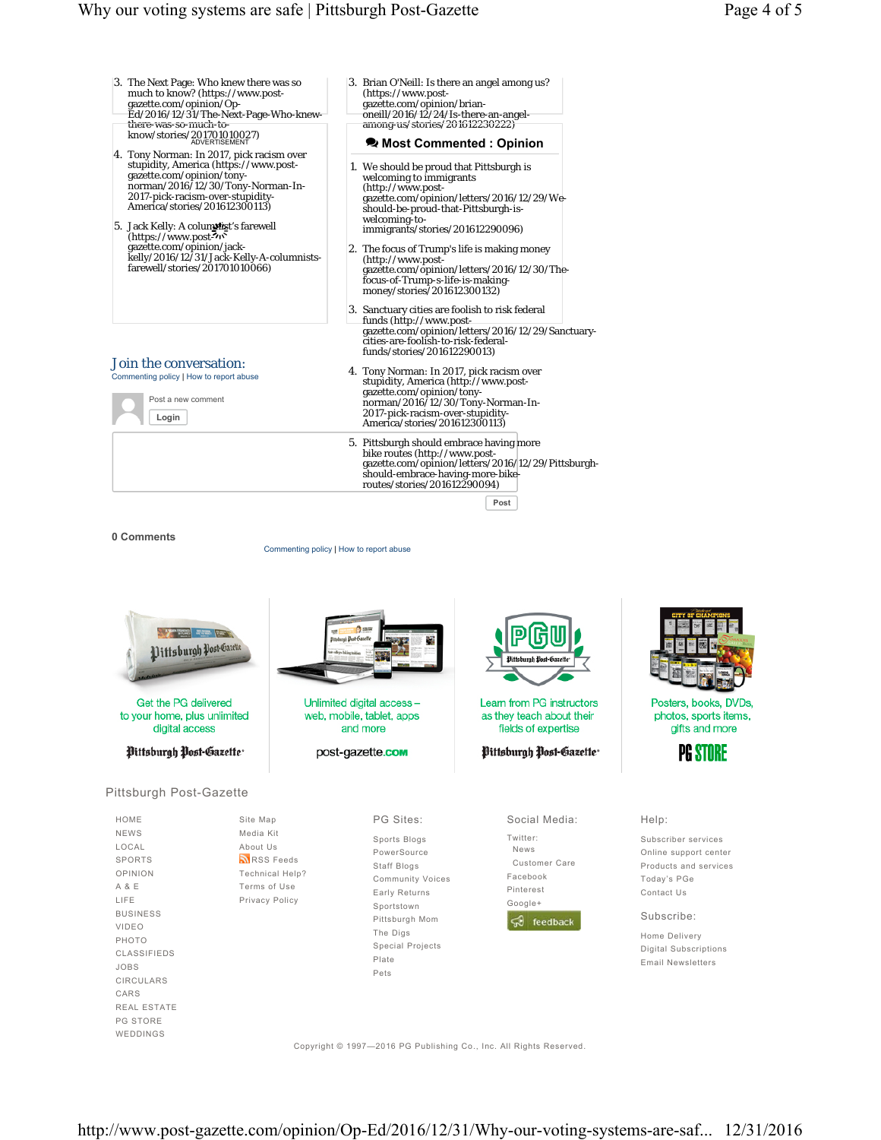- 3. The Next Page: Who knew there was so much to know? (https://www.postgazette.com/opinion/Op-Ed/2016/12/31/The-Next-Page-Who-knewthere-was-so-much-toknow/stories/201701010027) 4. Tony Norman: In 2017, pick racism over stupidity, America (https://www.postgazette.com/opinion/tonynorman/2016/12/30/Tony-Norman-In-
- 2017-pick-racism-over-stupidity-America/stories/201612300113) 5. Jack Kelly: A colum**nizi**t's farewell<br>
(https://www.post-705<br>
gazette.com/opinion/jackantis<br>Z<sub>11</sub>5
- kelly/2016/12/31/Jack-Kelly-A-columnistsfarewell/stories/201701010066)

Join the conversation: Commenting policy | How to report abuse Post a new comment

**Login**

#### 3. Brian O'Neill: Is there an angel among us? (https://www.postgazette.com/opinion/brian-oneill/2016/12/24/Is-there-an-angel-

among-us/stories/201612230222)

#### **• Most Commented : Opinion**

- 1. We should be proud that Pittsburgh is welcoming to immigrants (http://www.postgazette.com/opinion/letters/2016/12/29/Weshould-be-proud-that-Pittsburgh-iswelcoming-toimmigrants/stories/201612290096)
- 2. The focus of Trump's life is making money (http://www.post-gazette.com/opinion/letters/2016/12/30/Thefocus-of-Trump-s-life-is-makingmoney/stories/201612300132)
- 3. Sanctuary cities are foolish to risk federal funds (http://www.post-gazette.com/opinion/letters/2016/12/29/Sanctuarycities-are-foolish-to-risk-federalfunds/stories/201612290013)
- 4. Tony Norman: In 2017, pick racism over stupidity, America (http://www.post-gazette.com/opinion/tonynorman/2016/12/30/Tony-Norman-In-2017-pick-racism-over-stupidity-America/stories/201612300113)
	- 5. Pittsburgh should embrace having more bike routes (http://www.post-gazette.com/opinion/letters/2016/12/29/Pittsburghshould-embrace-having-more-bike-routes/stories/201612290094)

**Post**

#### **0 Comments**

Commenting policy | How to report abuse



Copyright © 1997—2016 PG Publishing Co., Inc. All Rights Reserved.